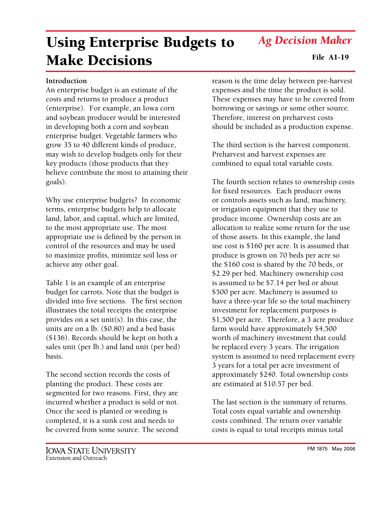FM 1875 May 2006

# *Ag Decision Maker*

# Using Enterprise Budgets to Make Decisions File A1-19

#### **Introduction**

An enterprise budget is an estimate of the costs and returns to produce a product (enterprise). For example, an Iowa corn and soybean producer would be interested in developing both a corn and soybean enterprise budget. Vegetable farmers who grow 35 to 40 different kinds of produce, may wish to develop budgets only for their key products (those products that they believe contribute the most to attaining their goals).

Why use enterprise budgets? In economic terms, enterprise budgets help to allocate land, labor, and capital, which are limited, to the most appropriate use. The most appropriate use is defined by the person in control of the resources and may be used to maximize profits, minimize soil loss or achieve any other goal.

Table 1 is an example of an enterprise budget for carrots. Note that the budget is divided into five sections. The first section illustrates the total receipts the enterprise provides on a set unit(s). In this case, the units are on a lb. (\$0.80) and a bed basis (\$136). Records should be kept on both a sales unit (per lb.) and land unit (per bed) basis.

The second section records the costs of planting the product. These costs are segmented for two reasons. First, they are incurred whether a product is sold or not. Once the seed is planted or weeding is completed, it is a sunk cost and needs to be covered from some source. The second

reason is the time delay between pre-harvest expenses and the time the product is sold. These expenses may have to be covered from borrowing or savings or some other source. Therefore, interest on preharvest costs should be included as a production expense.

The third section is the harvest component. Preharvest and harvest expenses are combined to equal total variable costs.

The fourth section relates to ownership costs for fixed resources. Each producer owns or controls assets such as land, machinery, or irrigation equipment that they use to produce income. Ownership costs are an allocation to realize some return for the use of those assets. In this example, the land use cost is \$160 per acre. It is assumed that produce is grown on 70 beds per acre so the \$160 cost is shared by the 70 beds, or \$2.29 per bed. Machinery ownership cost is assumed to be \$7.14 per bed or about \$500 per acre. Machinery is assumed to have a three-year life so the total machinery investment for replacement purposes is \$1,500 per acre. Therefore, a 3 acre produce farm would have approximately \$4,500 worth of machinery investment that could be replaced every 3 years. The irrigation system is assumed to need replacement every 3 years for a total per acre investment of approximately \$240. Total ownership costs are estimated at \$10.57 per bed.

The last section is the summary of returns. Total costs equal variable and ownership costs combined. The return over variable costs is equal to total receipts minus total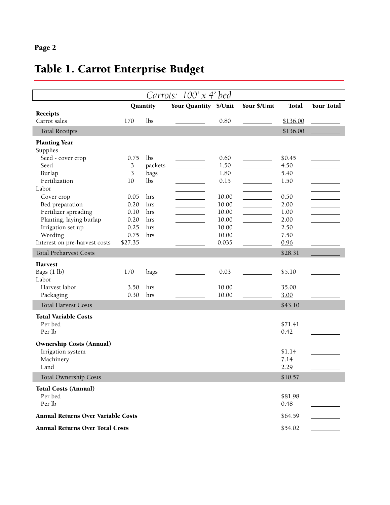## Page 2

## Table 1. Carrot Enterprise Budget

| Carrots: $100' \times 4'$ bed             |                |          |                       |       |              |          |                   |  |
|-------------------------------------------|----------------|----------|-----------------------|-------|--------------|----------|-------------------|--|
|                                           |                | Quantity | Your Quantity \$/Unit |       | Your \$/Unit | Total    | <b>Your Total</b> |  |
| <b>Receipts</b>                           |                |          |                       |       |              |          |                   |  |
| Carrot sales                              | 170            | lbs      |                       | 0.80  |              | \$136.00 |                   |  |
| <b>Total Receipts</b>                     |                |          |                       |       |              | \$136.00 |                   |  |
| <b>Planting Year</b>                      |                |          |                       |       |              |          |                   |  |
| Supplies                                  |                |          |                       |       |              |          |                   |  |
| Seed - cover crop                         | 0.75           | lbs      |                       | 0.60  |              | \$0.45   |                   |  |
| Seed                                      | $\mathfrak{Z}$ | packets  |                       | 1.50  |              | 4.50     |                   |  |
| Burlap                                    | 3              | bags     |                       | 1.80  |              | 5.40     |                   |  |
| Fertilization                             | 10             | lbs      |                       | 0.15  |              | 1.50     |                   |  |
| Labor                                     |                |          |                       |       |              |          |                   |  |
| Cover crop                                | 0.05           | hrs      |                       | 10.00 |              | 0.50     |                   |  |
| Bed preparation                           | 0.20           | hrs      |                       | 10.00 |              | 2.00     |                   |  |
| Fertilizer spreading                      | 0.10           | hrs      |                       | 10.00 |              | 1.00     |                   |  |
| Planting, laying burlap                   | 0.20           | hrs      |                       | 10.00 |              | 2.00     |                   |  |
| Irrigation set up                         | 0.25           | hrs      |                       | 10.00 |              | 2.50     |                   |  |
| Weeding                                   | 0.75           | hrs      |                       | 10.00 |              | 7.50     |                   |  |
| Interest on pre-harvest costs             | \$27.35        |          |                       | 0.035 |              | 0.96     |                   |  |
| <b>Total Preharvest Costs</b>             |                |          |                       |       |              | \$28.31  |                   |  |
|                                           |                |          |                       |       |              |          |                   |  |
| <b>Harvest</b>                            |                |          |                       |       |              |          |                   |  |
| Bags (1 lb)                               | 170            | bags     |                       | 0.03  |              | \$5.10   |                   |  |
| Labor                                     |                |          |                       |       |              |          |                   |  |
| Harvest labor                             | 3.50           | hrs      |                       | 10.00 |              | 35.00    |                   |  |
| Packaging                                 | 0.30           | hrs      |                       | 10.00 |              | 3.00     |                   |  |
| <b>Total Harvest Costs</b>                |                |          |                       |       |              | \$43.10  |                   |  |
| <b>Total Variable Costs</b>               |                |          |                       |       |              |          |                   |  |
| Per bed                                   |                |          |                       |       |              | \$71.41  |                   |  |
| Per lb                                    |                |          |                       |       |              | 0.42     |                   |  |
|                                           |                |          |                       |       |              |          |                   |  |
| <b>Ownership Costs (Annual)</b>           |                |          |                       |       |              |          |                   |  |
| Irrigation system                         |                |          |                       |       |              | \$1.14   |                   |  |
| Machinery                                 |                |          |                       |       |              | 7.14     |                   |  |
| Land                                      |                |          |                       |       |              | 2.29     |                   |  |
| <b>Total Ownership Costs</b>              |                |          |                       |       |              | \$10.57  |                   |  |
| <b>Total Costs (Annual)</b>               |                |          |                       |       |              |          |                   |  |
| Per bed                                   |                |          |                       |       |              | \$81.98  |                   |  |
| Per lb                                    |                |          |                       |       |              | 0.48     |                   |  |
|                                           |                |          |                       |       |              |          |                   |  |
| <b>Annual Returns Over Variable Costs</b> |                |          |                       |       |              | \$64.59  |                   |  |
| <b>Annual Returns Over Total Costs</b>    |                |          |                       |       |              | \$54.02  |                   |  |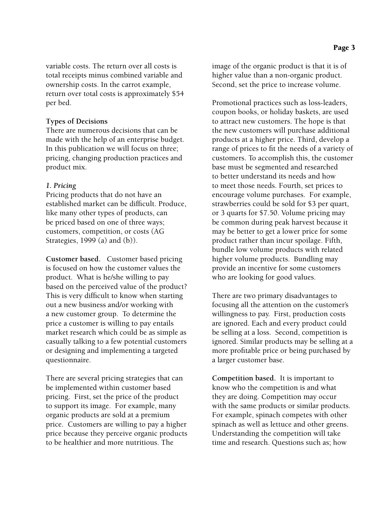variable costs. The return over all costs is total receipts minus combined variable and ownership costs. In the carrot example, return over total costs is approximately \$54 per bed.

#### **Types of Decisions**

There are numerous decisions that can be made with the help of an enterprise budget. In this publication we will focus on three; pricing, changing production practices and product mix.

#### *1. Pricing*

Pricing products that do not have an established market can be difficult. Produce, like many other types of products, can be priced based on one of three ways; customers, competition, or costs (AG Strategies, 1999 (a) and (b)).

**Customer based.** Customer based pricing is focused on how the customer values the product. What is he/she willing to pay based on the perceived value of the product? This is very difficult to know when starting out a new business and/or working with a new customer group. To determine the price a customer is willing to pay entails market research which could be as simple as casually talking to a few potential customers or designing and implementing a targeted questionnaire.

There are several pricing strategies that can be implemented within customer based pricing. First, set the price of the product to support its image. For example, many organic products are sold at a premium price. Customers are willing to pay a higher price because they perceive organic products to be healthier and more nutritious. The

image of the organic product is that it is of higher value than a non-organic product. Second, set the price to increase volume.

Promotional practices such as loss-leaders, coupon books, or holiday baskets, are used to attract new customers. The hope is that the new customers will purchase additional products at a higher price. Third, develop a range of prices to fit the needs of a variety of customers. To accomplish this, the customer base must be segmented and researched to better understand its needs and how to meet those needs. Fourth, set prices to encourage volume purchases. For example, strawberries could be sold for \$3 per quart, or 3 quarts for \$7.50. Volume pricing may be common during peak harvest because it may be better to get a lower price for some product rather than incur spoilage. Fifth, bundle low volume products with related higher volume products. Bundling may provide an incentive for some customers who are looking for good values.

There are two primary disadvantages to focusing all the attention on the customer's willingness to pay. First, production costs are ignored. Each and every product could be selling at a loss. Second, competition is ignored. Similar products may be selling at a more profitable price or being purchased by a larger customer base.

**Competition based.** It is important to know who the competition is and what they are doing. Competition may occur with the same products or similar products. For example, spinach competes with other spinach as well as lettuce and other greens. Understanding the competition will take time and research. Questions such as; how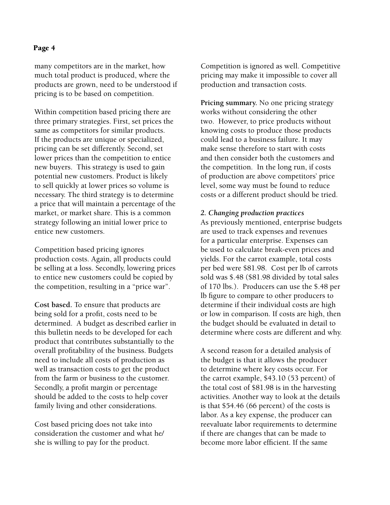#### Page 4

many competitors are in the market, how much total product is produced, where the products are grown, need to be understood if pricing is to be based on competition.

Within competition based pricing there are three primary strategies. First, set prices the same as competitors for similar products. If the products are unique or specialized, pricing can be set differently. Second, set lower prices than the competition to entice new buyers. This strategy is used to gain potential new customers. Product is likely to sell quickly at lower prices so volume is necessary. The third strategy is to determine a price that will maintain a percentage of the market, or market share. This is a common strategy following an initial lower price to entice new customers.

Competition based pricing ignores production costs. Again, all products could be selling at a loss. Secondly, lowering prices to entice new customers could be copied by the competition, resulting in a "price war".

**Cost based.** To ensure that products are being sold for a profit, costs need to be determined. A budget as described earlier in this bulletin needs to be developed for each product that contributes substantially to the overall profitability of the business. Budgets need to include all costs of production as well as transaction costs to get the product from the farm or business to the customer. Secondly, a profit margin or percentage should be added to the costs to help cover family living and other considerations.

Cost based pricing does not take into consideration the customer and what he/ she is willing to pay for the product.

Competition is ignored as well. Competitive pricing may make it impossible to cover all production and transaction costs.

**Pricing summary.** No one pricing strategy works without considering the other two. However, to price products without knowing costs to produce those products could lead to a business failure. It may make sense therefore to start with costs and then consider both the customers and the competition. In the long run, if costs of production are above competitors' price level, some way must be found to reduce costs or a different product should be tried.

### *2. Changing production practices*

As previously mentioned, enterprise budgets are used to track expenses and revenues for a particular enterprise. Expenses can be used to calculate break-even prices and yields. For the carrot example, total costs per bed were \$81.98. Cost per lb of carrots sold was \$.48 (\$81.98 divided by total sales of 170 lbs.). Producers can use the \$.48 per lb figure to compare to other producers to determine if their individual costs are high or low in comparison. If costs are high, then the budget should be evaluated in detail to determine where costs are different and why.

A second reason for a detailed analysis of the budget is that it allows the producer to determine where key costs occur. For the carrot example, \$43.10 (53 percent) of the total cost of \$81.98 is in the harvesting activities. Another way to look at the details is that \$54.46 (66 percent) of the costs is labor. As a key expense, the producer can reevaluate labor requirements to determine if there are changes that can be made to become more labor efficient. If the same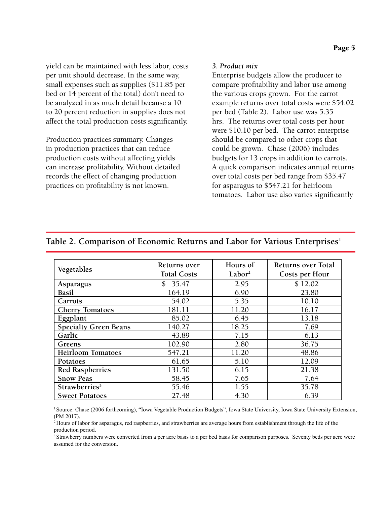yield can be maintained with less labor, costs per unit should decrease. In the same way, small expenses such as supplies (\$11.85 per bed or 14 percent of the total) don't need to be analyzed in as much detail because a 10 to 20 percent reduction in supplies does not affect the total production costs significantly.

Production practices summary. Changes in production practices that can reduce production costs without affecting yields can increase profitability. Without detailed records the effect of changing production practices on profitability is not known.

### *3. Product mix*

Enterprise budgets allow the producer to compare profitability and labor use among the various crops grown. For the carrot example returns over total costs were \$54.02 per bed (Table 2). Labor use was 5.35 hrs. The returns over total costs per hour were \$10.10 per bed. The carrot enterprise should be compared to other crops that could be grown. Chase (2006) includes budgets for 13 crops in addition to carrots. A quick comparison indicates annual returns over total costs per bed range from \$35.47 for asparagus to \$547.21 for heirloom tomatoes. Labor use also varies significantly

|                              | Returns over       | Hours of           | <b>Returns over Total</b><br>Costs per Hour |  |
|------------------------------|--------------------|--------------------|---------------------------------------------|--|
| Vegetables                   | <b>Total Costs</b> | Labor <sup>2</sup> |                                             |  |
| Asparagus                    | \$35.47            | 2.95               | \$12.02                                     |  |
| <b>Basil</b>                 | 164.19             | 6.90               | 23.80                                       |  |
| Carrots                      | 54.02              | 5.35               | 10.10                                       |  |
| <b>Cherry Tomatoes</b>       | 181.11             | 11.20              | 16.17                                       |  |
| Eggplant                     | 85.02              | 6.45               | 13.18                                       |  |
| <b>Specialty Green Beans</b> | 140.27             | 18.25              | 7.69                                        |  |
| Garlic                       | 43.89              | 7.15               | 6.13                                        |  |
| Greens                       | 102.90             | 2.80               | 36.75                                       |  |
| <b>Heirloom Tomatoes</b>     | 547.21             | 11.20              | 48.86                                       |  |
| Potatoes                     | 61.65              | 5.10               | 12.09                                       |  |
| <b>Red Raspberries</b>       | 131.50             | 6.15               | 21.38                                       |  |
| <b>Snow Peas</b>             | 58.45              | 7.65               | 7.64                                        |  |
| Strawberries <sup>3</sup>    | 55.46              | 1.55               | 35.78                                       |  |
| <b>Sweet Potatoes</b>        | 27.48              | 4.30               | 6.39                                        |  |

### Table 2. Comparison of Economic Returns and Labor for Various Enterprises<sup>1</sup>

<sup>1</sup> Source: Chase (2006 forthcoming), "Iowa Vegetable Production Budgets", Iowa State University, Iowa State University Extension, (PM 2017).

2 Hours of labor for asparagus, red raspberries, and strawberries are average hours from establishment through the life of the production period.

3 Strawberry numbers were converted from a per acre basis to a per bed basis for comparison purposes. Seventy beds per acre were assumed for the conversion.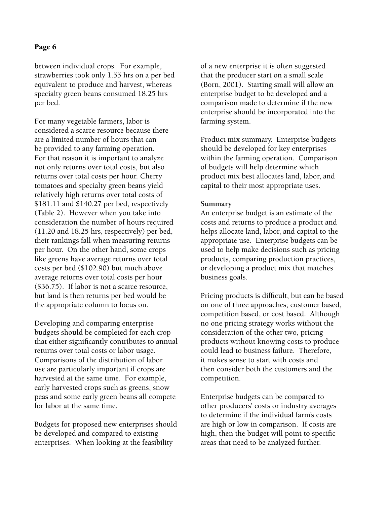### Page 6

between individual crops. For example, strawberries took only 1.55 hrs on a per bed equivalent to produce and harvest, whereas specialty green beans consumed 18.25 hrs per bed.

For many vegetable farmers, labor is considered a scarce resource because there are a limited number of hours that can be provided to any farming operation. For that reason it is important to analyze not only returns over total costs, but also returns over total costs per hour. Cherry tomatoes and specialty green beans yield relatively high returns over total costs of \$181.11 and \$140.27 per bed, respectively (Table 2). However when you take into consideration the number of hours required (11.20 and 18.25 hrs, respectively) per bed, their rankings fall when measuring returns per hour. On the other hand, some crops like greens have average returns over total costs per bed (\$102.90) but much above average returns over total costs per hour (\$36.75). If labor is not a scarce resource, but land is then returns per bed would be the appropriate column to focus on.

Developing and comparing enterprise budgets should be completed for each crop that either significantly contributes to annual returns over total costs or labor usage. Comparisons of the distribution of labor use are particularly important if crops are harvested at the same time. For example, early harvested crops such as greens, snow peas and some early green beans all compete for labor at the same time.

Budgets for proposed new enterprises should be developed and compared to existing enterprises. When looking at the feasibility

of a new enterprise it is often suggested that the producer start on a small scale (Born, 2001). Starting small will allow an enterprise budget to be developed and a comparison made to determine if the new enterprise should be incorporated into the farming system.

Product mix summary. Enterprise budgets should be developed for key enterprises within the farming operation. Comparison of budgets will help determine which product mix best allocates land, labor, and capital to their most appropriate uses.

#### **Summary**

An enterprise budget is an estimate of the costs and returns to produce a product and helps allocate land, labor, and capital to the appropriate use. Enterprise budgets can be used to help make decisions such as pricing products, comparing production practices, or developing a product mix that matches business goals.

Pricing products is difficult, but can be based on one of three approaches; customer based, competition based, or cost based. Although no one pricing strategy works without the consideration of the other two, pricing products without knowing costs to produce could lead to business failure. Therefore, it makes sense to start with costs and then consider both the customers and the competition.

Enterprise budgets can be compared to other producers' costs or industry averages to determine if the individual farm's costs are high or low in comparison. If costs are high, then the budget will point to specific areas that need to be analyzed further.